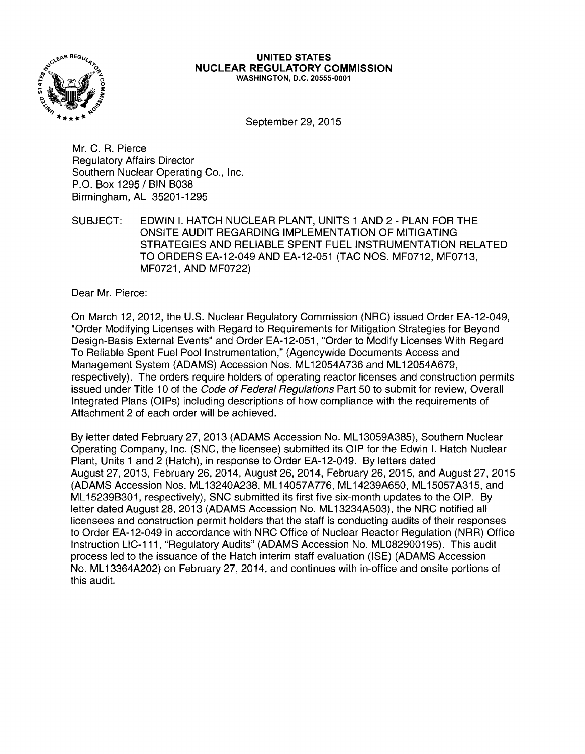

#### **UNITED STATES NUCLEAR REGULATORY COMMISSION**  WASHINGTON, D.C. 20555-0001

September 29, 2015

Mr. C. R. Pierce Regulatory Affairs Director Southern Nuclear Operating Co., Inc. P.O. Box 1295 / BIN B038 Birmingham, AL 35201-1295

SUBJECT: EDWIN I. HATCH NUCLEAR PLANT, UNITS 1 AND 2 - PLAN FOR THE ONSITE AUDIT REGARDING IMPLEMENTATION OF MITIGATING STRATEGIES AND RELIABLE SPENT FUEL INSTRUMENTATION RELATED TO ORDERS EA-12-049 AND EA-12-051 (TAC NOS. MF0712, MF0713, MF0721, AND MF0722)

Dear Mr. Pierce:

On March 12, 2012, the U.S. Nuclear Regulatory Commission (NRC) issued Order EA-12-049, "Order Modifying Licenses with Regard to Requirements for Mitigation Strategies for Beyond Design-Basis External Events" and Order EA-12-051, "Order to Modify Licenses With Regard To Reliable Spent Fuel Pool Instrumentation," (Agencywide Documents Access and Management System (ADAMS) Accession Nos. ML 12054A736 and ML 12054A679, respectively). The orders require holders of operating reactor licenses and construction permits issued under Title 10 of the Code of Federal Regulations Part 50 to submit for review, Overall Integrated Plans (OIPs) including descriptions of how compliance with the requirements of Attachment 2 of each order will be achieved.

By letter dated February 27, 2013 (ADAMS Accession No. ML 13059A385), Southern Nuclear Operating Company, Inc. (SNC, the licensee) submitted its OIP for the Edwin I. Hatch Nuclear Plant, Units 1 and 2 (Hatch), in response to Order EA-12-049. By letters dated August 27, 2013, February 26, 2014, August 26, 2014, February 26, 2015, and August 27, 2015 (ADAMS Accession Nos. ML 13240A238, ML 14057A776, ML 14239A650, ML 15057A315, and ML 152398301, respectively), SNC submitted its first five six-month updates to the OIP. By letter dated August 28, 2013 (ADAMS Accession No. ML 13234A503), the NRC notified all licensees and construction permit holders that the staff is conducting audits of their responses to Order EA-12-049 in accordance with NRC Office of Nuclear Reactor Regulation (NRR) Office Instruction LIC-111, "Regulatory Audits" (ADAMS Accession No. ML082900195). This audit process led to the issuance of the Hatch interim staff evaluation (ISE) (ADAMS Accession No. ML13364A202) on February 27, 2014, and continues with in-office and onsite portions of this audit.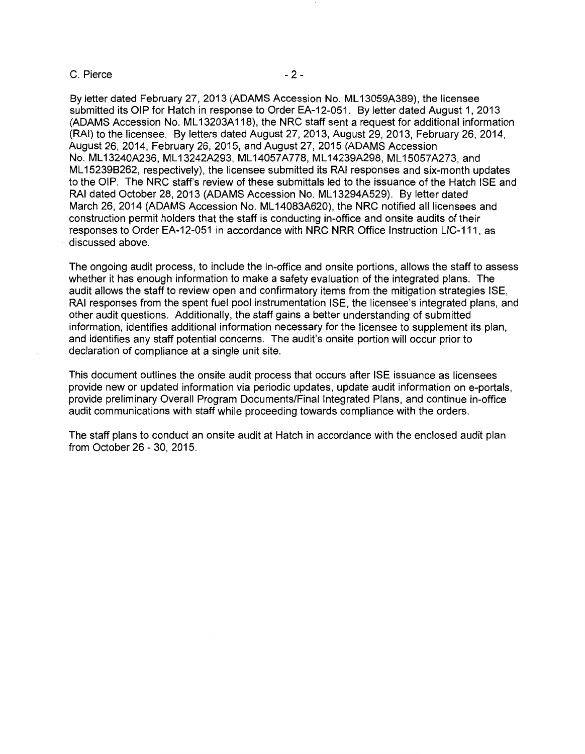#### C. Pierce - 2 -

By letter dated February 27, 2013 (ADAMS Accession No. ML 13059A389), the licensee submitted its OIP for Hatch in response to Order EA-12-051. By letter dated August 1, 2013 (ADAMS Accession No. ML 13203A 118), the NRC staff sent a request for additional information (RAI) to the licensee. By letters dated August 27, 2013, August 29, 2013, February 26, 2014, August 26, 2014, February 26, 2015, and August 27, 2015 (ADAMS Accession No.ML13240A236,ML13242A293, ML14057A778,ML14239A298, ML15057A273,and ML 15239B262, respectively), the licensee submitted its RAI responses and six-month updates to the OIP. The NRC staff's review of these submittals led to the issuance of the Hatch ISE and RAI dated October 28, 2013 (ADAMS Accession No. ML 13294A529). By letter dated March 26, 2014 (ADAMS Accession No. ML 14083A620), the NRC notified all licensees and construction permit holders that the staff is conducting in-office and onsite audits of their responses to Order EA-12-051 in accordance with NRC NRR Office Instruction LIC-111, as discussed above.

The ongoing audit process, to include the in-office and onsite portions, allows the staff to assess whether it has enough information to make a safety evaluation of the integrated plans. The audit allows the staff to review open and confirmatory items from the mitigation strategies ISE, RAI responses from the spent fuel pool instrumentation ISE, the licensee's integrated plans, and other audit questions. Additionally, the staff gains a better understanding of submitted information, identifies additional information necessary for the licensee to supplement its plan, and identifies any staff potential concerns. The audit's onsite portion will occur prior to declaration of compliance at a single unit site.

This document outlines the onsite audit process that occurs after ISE issuance as licensees provide new or updated information via periodic updates, update audit information on e-portals, provide preliminary Overall Program Documents/Final Integrated Plans, and continue in-office audit communications with staff while proceeding towards compliance with the orders.

The staff plans to conduct an onsite audit at Hatch in accordance with the enclosed audit plan from October 26 - 30, 2015.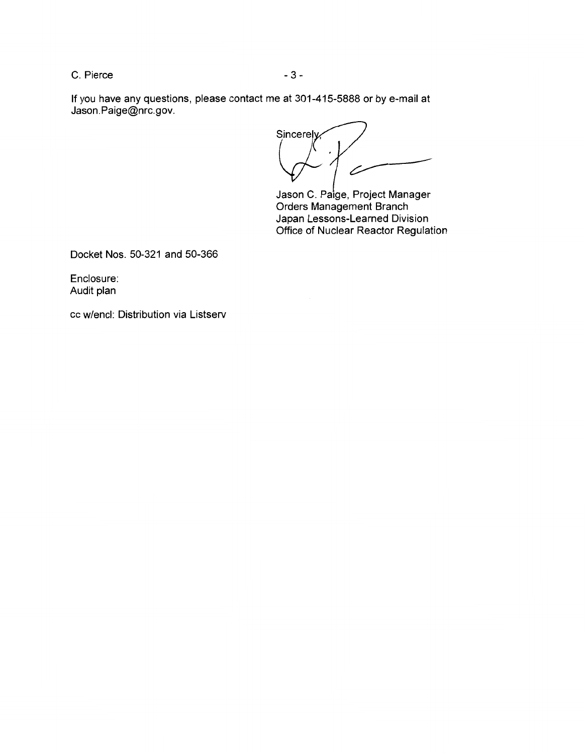C. Pierce - 3 -

If you have any questions, please contact me at 301-415-5888 or by e-mail at Jason.Paige@nrc.gov.

Sincerely  $\bigcup$ 

Jason C. Paige, Project Manager Orders Management Branch Japan Lessons-Learned Division Office of Nuclear Reactor Regulation

Docket Nos. 50-321 and 50-366

Enclosure: Audit plan

cc w/encl: Distribution via Listserv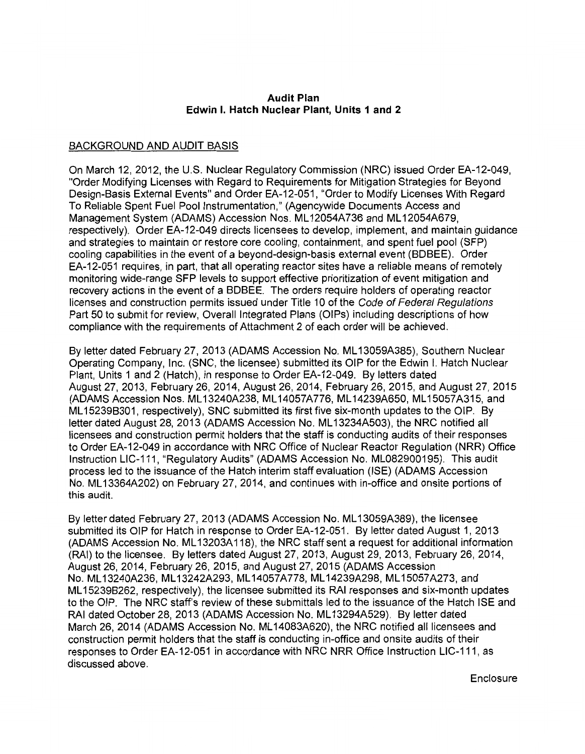### **Audit Plan Edwin I. Hatch Nuclear Plant, Units 1 and 2**

# BACKGROUND AND AUDIT BASIS

On March 12, 2012, the U.S. Nuclear Regulatory Commission (NRC) issued Order EA-12-049, "Order Modifying Licenses with Regard to Requirements for Mitigation Strategies for Beyond Design-Basis External Events" and Order EA-12-051, "Order to Modify Licenses With Regard To Reliable Spent Fuel Pool Instrumentation," (Agencywide Documents Access and Management System (ADAMS) Accession Nos. ML 12054A736 and ML 12054A679, respectively). Order EA-12-049 directs licensees to develop, implement, and maintain guidance and strategies to maintain or restore core cooling, containment, and spent fuel pool (SFP) cooling capabilities in the event of a beyond-design-basis external event (BDBEE). Order EA-12-051 requires, in part, that all operating reactor sites have a reliable means of remotely monitoring wide-range SFP levels to support effective prioritization of event mitigation and recovery actions in the event of a BDBEE. The orders require holders of operating reactor licenses and construction permits issued under Title 10 of the Code of Federal Regulations Part 50 to submit for review, Overall Integrated Plans (OIPs) including descriptions of how compliance with the requirements of Attachment 2 of each order will be achieved.

By letter dated February 27, 2013 (ADAMS Accession No. ML 13059A385), Southern Nuclear Operating Company, Inc. (SNC, the licensee) submitted its OIP for the Edwin I. Hatch Nuclear Plant, Units 1 and 2 (Hatch), in response to Order EA-12-049. By letters dated August 27, 2013, February 26, 2014, August 26, 2014, February 26, 2015, and August 27, 2015 (ADAMS Accession Nos. ML 13240A238, ML 14057A776, ML 14239A650, ML 15057A315, and ML 15239B301, respectively), SNC submitted its first five six-month updates to the OIP. By letter dated August 28, 2013 (ADAMS Accession No. ML13234A503), the NRC notified all licensees and construction permit holders that the staff is conducting audits of their responses to Order EA-12-049 in accordance with NRC Office of Nuclear Reactor Regulation (NRR) Office Instruction LIC-111, "Regulatory Audits" (ADAMS Accession No. ML082900195). This audit process led to the issuance of the Hatch interim staff evaluation (ISE) (ADAMS Accession No. ML 13364A202) on February 27, 2014, and continues with in-office and onsite portions of this audit.

By letter dated February 27, 2013 (ADAMS Accession No. ML 13059A389), the licensee submitted its OIP for Hatch in response to Order EA-12-051. By letter dated August 1, 2013 (ADAMS Accession No. ML 13203A 118), the NRC staff sent a request for additional information (RAI) to the licensee. By letters dated August 27, 2013, August 29, 2013, February 26, 2014, August 26, 2014, February 26, 2015, and August 27, 2015 (ADAMS Accession No.ML13240A236, ML13242A293, ML14057A778,ML14239A298,ML15057A273,and ML 15239B262, respectively), the licensee submitted its RAI responses and six-month updates to the OIP. The NRC staff's review of these submittals led to the issuance of the Hatch ISE and RAI dated October 28, 2013 (ADAMS Accession No. ML 13294A529). By letter dated March 26, 2014 (ADAMS Accession No. ML 14083A620), the NRC notified all licensees and construction permit holders that the staff is conducting in-office and onsite audits of their responses to Order EA-12-051 in accordance with NRC NRR Office Instruction LIC-111, as discussed above.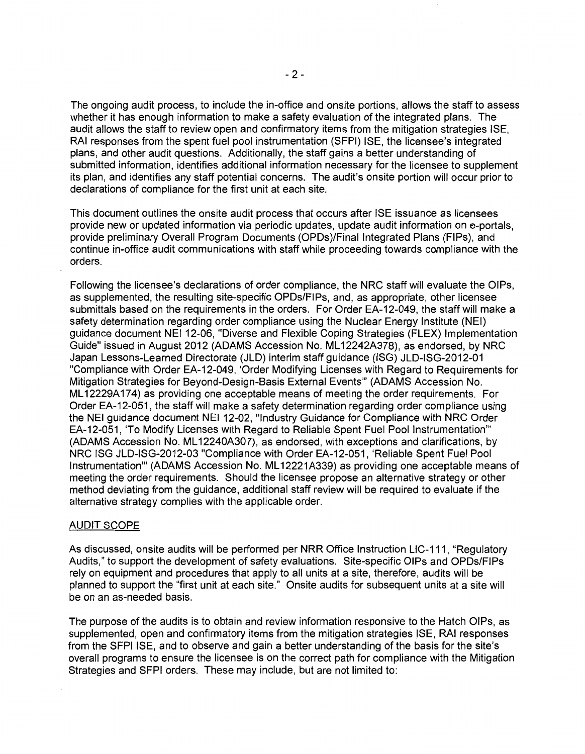The ongoing audit process, to include the in-office and onsite portions, allows the staff to assess whether it has enough information to make a safety evaluation of the integrated plans. The audit allows the staff to review open and confirmatory items from the mitigation strategies ISE, RAI responses from the spent fuel pool instrumentation (SFPI) ISE, the licensee's integrated plans, and other audit questions. Additionally, the staff gains a better understanding of submitted information, identifies additional information necessary for the licensee to supplement its plan, and identifies any staff potential concerns. The audit's onsite portion will occur prior to declarations of compliance for the first unit at each site.

This document outlines the onsite audit process that occurs after ISE issuance as licensees provide new or updated information via periodic updates, update audit information on e-portals, provide preliminary Overall Program Documents (OPDs)/Final Integrated Plans (FIPs), and continue in-office audit communications with staff while proceeding towards compliance with the orders.

Following the licensee's declarations of order compliance, the NRC staff will evaluate the OIPs, as supplemented, the resulting site-specific OPDs/FIPs, and, as appropriate, other licensee submittals based on the requirements in the orders. For Order EA-12-049, the staff will make a safety determination regarding order compliance using the Nuclear Energy Institute (NEI) guidance document NEI 12-06, "Diverse and Flexible Coping Strategies (FLEX) Implementation Guide" issued in August 2012 (ADAMS Accession No. ML 12242A378), as endorsed, by NRC Japan Lessons-Learned Directorate (JLD) interim staff guidance (ISG) JLD-ISG-2012-01 "Compliance with Order EA-12-049, 'Order Modifying Licenses with Regard to Requirements for Mitigation Strategies for Beyond-Design-Basis External Events"' (ADAMS Accession No. ML 12229A174) as providing one acceptable means of meeting the order requirements. For Order EA-12-051, the staff will make a safety determination regarding order compliance using the NEI guidance document NEI 12-02, "Industry Guidance for Compliance with NRC Order EA-12-051, 'To Modify Licenses with Regard to Reliable Spent Fuel Pool Instrumentation"' (ADAMS Accession No. ML 12240A307), as endorsed, with exceptions and clarifications, by NRC ISG JLD-ISG-2012-03 "Compliance with Order EA-12-051, 'Reliable Spent Fuel Pool Instrumentation"' (ADAMS Accession No. ML 12221A339) as providing one acceptable means of meeting the order requirements. Should the licensee propose an alternative strategy or other method deviating from the guidance, additional staff review will be required to evaluate if the alternative strategy complies with the applicable order.

#### AUDIT SCOPE

As discussed, onsite audits will be performed per NRR Office Instruction LIC-111, "Regulatory Audits," to support the development of safety evaluations. Site-specific OIPs and OPDs/FIPs rely on equipment and procedures that apply to all units at a site, therefore, audits will be planned to support the "first unit at each site." Onsite audits for subsequent units at a site will be on an as-needed basis.

The purpose of the audits is to obtain and review information responsive to the Hatch OIPs, as supplemented, open and confirmatory items from the mitigation strategies ISE, RAI responses from the SFPI ISE, and to observe and gain a better understanding of the basis for the site's overall programs to ensure the licensee is on the correct path for compliance with the Mitigation Strategies and SFPI orders. These may include, but are not limited to: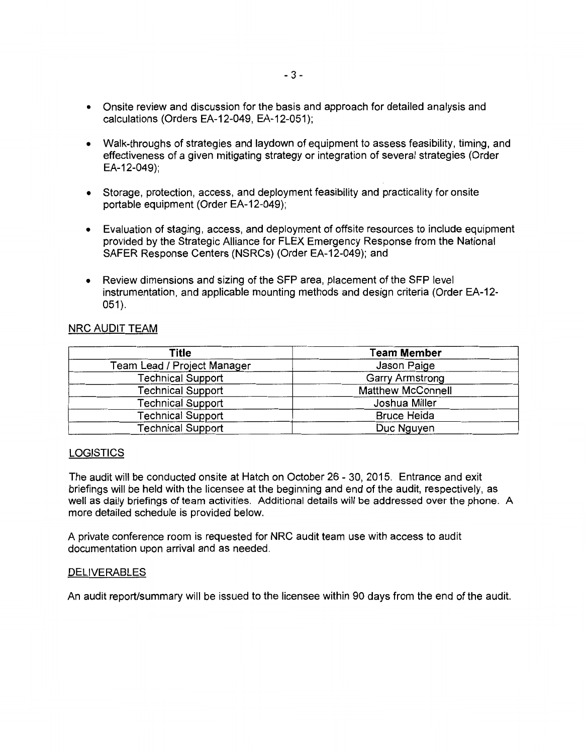- Onsite review and discussion for the basis and approach for detailed analysis and calculations (Orders EA-12-049, EA-12-051);
- Walk-throughs of strategies and laydown of equipment to assess feasibility, timing, and effectiveness of a given mitigating strategy or integration of several strategies (Order EA-12-049);
- Storage, protection, access, and deployment feasibility and practicality for onsite portable equipment (Order EA-12-049);
- Evaluation of staging, access, and deployment of offsite resources to include equipment provided by the Strategic Alliance for FLEX Emergency Response from the National SAFER Response Centers (NSRCs) (Order EA-12-049); and
- Review dimensions and sizing of the SFP area, placement of the SFP level instrumentation, and applicable mounting methods and design criteria (Order EA-12- 051).

# NRC AUDIT TEAM

| Title                       | <b>Team Member</b>       |  |
|-----------------------------|--------------------------|--|
| Team Lead / Project Manager | Jason Paige              |  |
| <b>Technical Support</b>    | <b>Garry Armstrong</b>   |  |
| <b>Technical Support</b>    | <b>Matthew McConnell</b> |  |
| <b>Technical Support</b>    | Joshua Miller            |  |
| <b>Technical Support</b>    | <b>Bruce Heida</b>       |  |
| <b>Technical Support</b>    | Duc Nguyen               |  |

## LOGISTICS

The audit will be conducted onsite at Hatch on October 26 - 30, 2015. Entrance and exit briefings will be held with the licensee at the beginning and end of the audit, respectively, as well as daily briefings of team activities. Additional details will be addressed over the phone. A more detailed schedule is provided below.

A private conference room is requested for NRC audit team use with access to audit documentation upon arrival and as needed.

#### DELIVERABLES

An audit report/summary will be issued to the licensee within 90 days from the end of the audit.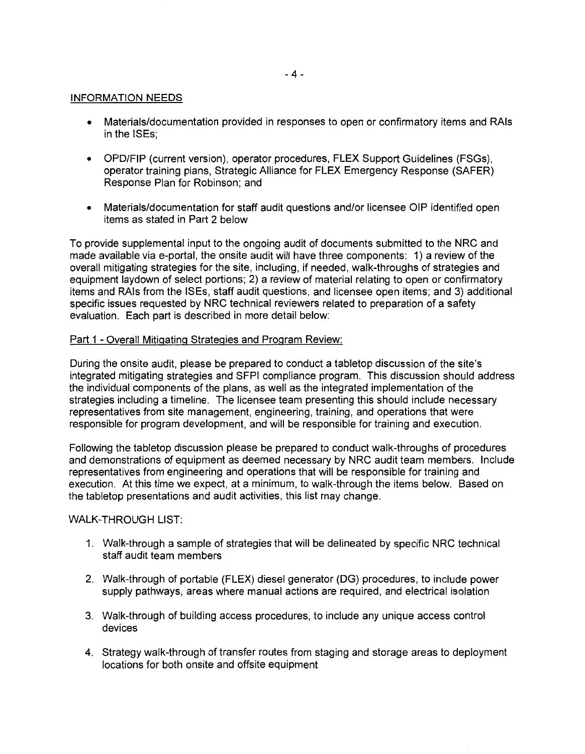### INFORMATION NEEDS

- Materials/documentation provided in responses to open or confirmatory items and RAls in the ISEs;
- OPD/FIP (current version), operator procedures, FLEX Support Guidelines (FSGs), operator training plans, Strategic Alliance for FLEX Emergency Response (SAFER) Response Plan for Robinson; and
- Materials/documentation for staff audit questions and/or licensee OIP identified open items as stated in Part 2 below

To provide supplemental input to the ongoing audit of documents submitted to the NRC and made available via e-portal, the onsite audit will have three components: 1) a review of the overall mitigating strategies for the site, including, if needed, walk-throughs of strategies and equipment laydown of select portions; 2) a review of material relating to open or confirmatory items and RAls from the ISEs, staff audit questions, and licensee open items; and 3) additional specific issues requested by NRC technical reviewers related to preparation of a safety evaluation. Each part is described in more detail below:

## Part 1 - Overall Mitigating Strategies and Program Review:

During the onsite audit, please be prepared to conduct a tabletop discussion of the site's integrated mitigating strategies and SFPI compliance program. This discussion should address the individual components of the plans, as well as the integrated implementation of the strategies including a timeline. The licensee team presenting this should include necessary representatives from site management, engineering, training, and operations that were responsible for program development, and will be responsible for training and execution.

Following the tabletop discussion please be prepared to conduct walk-throughs of procedures and demonstrations of equipment as deemed necessary by NRC audit team members. Include representatives from engineering and operations that will be responsible for training and execution. At this time we expect, at a minimum, to walk-through the items below. Based on the tabletop presentations and audit activities, this list may change.

#### WALK-THROUGH LIST:

- 1. Walk-through a sample of strategies that will be delineated by specific NRC technical staff audit team members
- 2. Walk-through of portable (FLEX) diesel generator (DG) procedures, to include power supply pathways, areas where manual actions are required, and electrical isolation
- 3. Walk-through of building access procedures, to include any unique access control devices
- 4. Strategy walk-through of transfer routes from staging and storage areas to deployment locations for both onsite and offsite equipment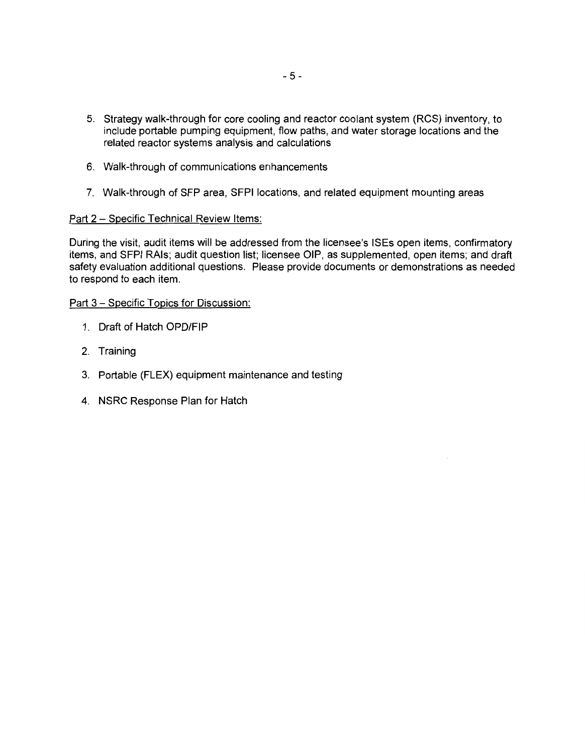- 5. Strategy walk-through for core cooling and reactor coolant system (RCS) inventory, to include portable pumping equipment, flow paths, and water storage locations and the related reactor systems analysis and calculations
- 6. Walk-through of communications enhancements
- 7. Walk-through of SFP area, SFPI locations, and related equipment mounting areas

## Part 2 - Specific Technical Review Items:

During the visit, audit items will be addressed from the licensee's ISEs open items, confirmatory items, and SFPI RAls; audit question list; licensee OIP, as supplemented, open items; and draft safety evaluation additional questions. Please provide documents or demonstrations as needed to respond to each item.

## Part 3 - Specific Topics for Discussion:

- 1. Draft of Hatch OPD/FIP
- 2. Training
- 3. Portable (FLEX) equipment maintenance and testing
- 4. NSRC Response Plan for Hatch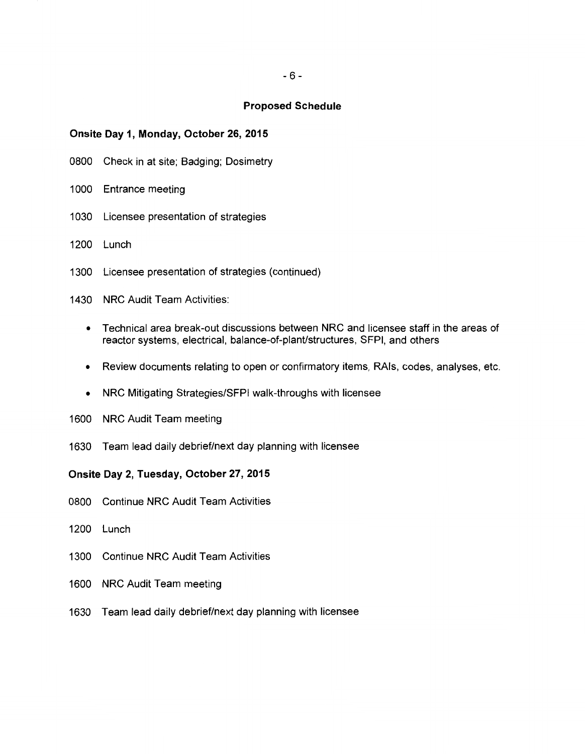#### **Proposed Schedule**

#### **Onsite Day 1, Monday, October 26, 2015**

- 0800 Check in at site; Badging; Dosimetry
- 1000 Entrance meeting
- 1030 Licensee presentation of strategies
- 1200 Lunch
- 1300 Licensee presentation of strategies (continued)
- 1430 NRC Audit Team Activities:
	- Technical area break-out discussions between NRC and licensee staff in the areas of reactor systems, electrical, balance-of-plant/structures, SFPI, and others
	- Review documents relating to open or confirmatory items, RAls, codes, analyses, etc.
	- NRC Mitigating Strategies/SFPI walk-throughs with licensee
- 1600 NRC Audit Team meeting
- 1630 Team lead daily debrief/next day planning with licensee

#### **Onsite Day 2, Tuesday, October 27, 2015**

- 0800 Continue NRC Audit Team Activities
- 1200 Lunch
- 1300 Continue NRC Audit Team Activities
- 1600 NRC Audit Team meeting
- 1630 Team lead daily debrief/next day planning with licensee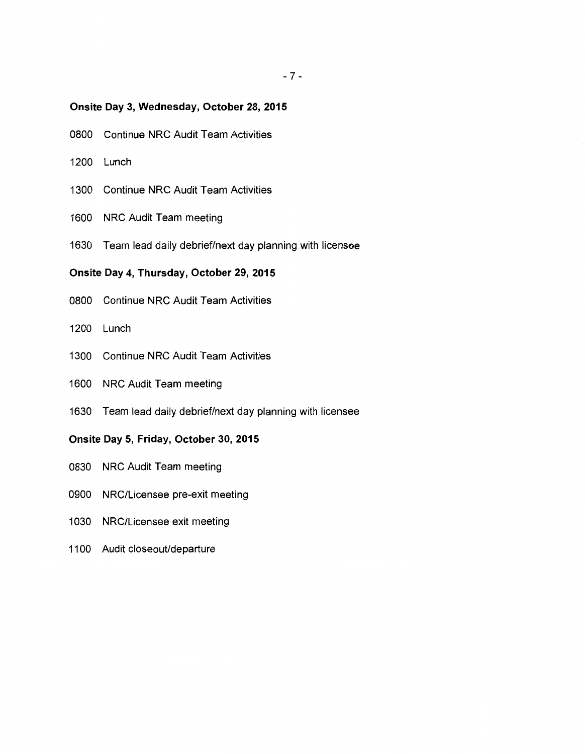## **Onsite Day 3, Wednesday, October 28, 2015**

- 0800 Continue NRC Audit Team Activities
- 1200 Lunch
- 1300 Continue NRC Audit Team Activities
- 1600 NRC Audit Team meeting
- 1630 Team lead daily debrief/next day planning with licensee

## **Onsite Day 4, Thursday, October 29, 2015**

- 0800 Continue NRC Audit Team Activities
- 1200 Lunch
- 1300 Continue NRC Audit Team Activities
- 1600 NRC Audit Team meeting
- 1630 Team lead daily debrief/next day planning with licensee

### **Onsite Day 5, Friday, October** 30, **2015**

- 0830 NRC Audit Team meeting
- 0900 NRG/Licensee pre-exit meeting
- 1030 NRG/Licensee exit meeting
- 1100 Audit closeout/departure